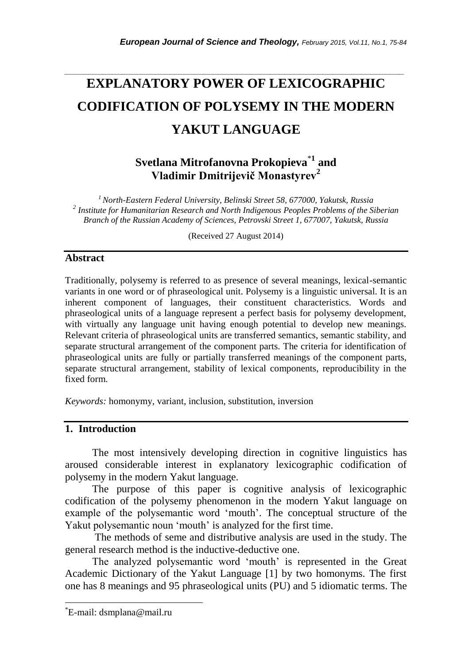# *\_\_\_\_\_\_\_\_\_\_\_\_\_\_\_\_\_\_\_\_\_\_\_\_\_\_\_\_\_\_\_\_\_\_\_\_\_\_\_\_\_\_\_\_\_\_\_\_\_\_\_\_\_\_\_\_\_\_\_\_\_\_\_\_\_\_\_\_\_\_\_* **EXPLANATORY POWER OF LEXICOGRAPHIC CODIFICATION OF POLYSEMY IN THE MODERN YAKUT LANGUAGE**

## **Svetlana Mitrofanovna Prokopieva**\***<sup>1</sup> and Vladimir Dmitrijevič Monastyrev<sup>2</sup>**

*<sup>1</sup>North-Eastern Federal University, Belinski Street 58, 677000, Yakutsk, Russia 2 Institute for Humanitarian Research and North Indigenous Peoples Problems of the Siberian Branch of the Russian Academy of Sciences, Petrovski Street 1, 677007, Yakutsk, Russia*

(Received 27 August 2014)

## **Abstract**

Traditionally, polysemy is referred to as presence of several meanings, lexical-semantic variants in one word or of phraseological unit. Polysemy is a linguistic universal. It is an inherent component of languages, their constituent characteristics. Words and phraseological units of a language represent a perfect basis for polysemy development, with virtually any language unit having enough potential to develop new meanings. Relevant criteria of phraseological units are transferred semantics, semantic stability, and separate structural arrangement of the component parts. The criteria for identification of phraseological units are fully or partially transferred meanings of the component parts, separate structural arrangement, stability of lexical components, reproducibility in the fixed form.

*Keywords:* homonymy, variant, inclusion, substitution, inversion

## **1. Introduction**

The most intensively developing direction in cognitive linguistics has aroused considerable interest in explanatory lexicographic codification of polysemy in the modern Yakut language.

The purpose of this paper is cognitive analysis of lexicographic codification of the polysemy phenomenon in the modern Yakut language on example of the polysemantic word 'mouth'. The conceptual structure of the Yakut polysemantic noun 'mouth' is analyzed for the first time.

The methods of seme and distributive analysis are used in the study. The general research method is the inductive-deductive one.

The analyzed polysemantic word 'mouth' is represented in the Great Academic Dictionary of the Yakut Language [1] by two homonyms. The first one has 8 meanings and 95 phraseological units (PU) and 5 idiomatic terms. The

l

<sup>\*</sup>E-mail: dsmplana@mail.ru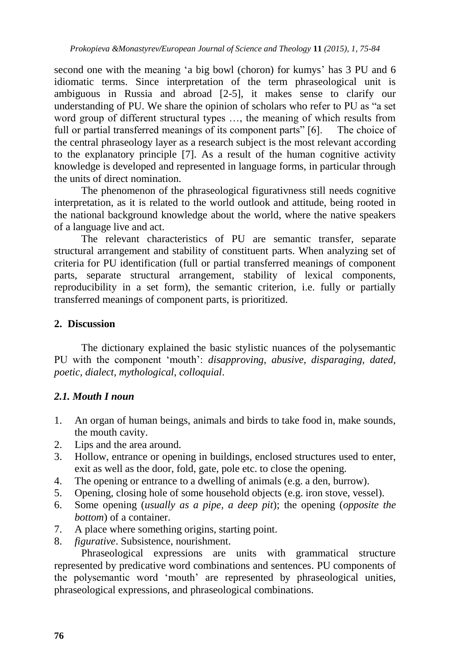second one with the meaning 'a big bowl (choron) for kumys' has 3 PU and 6 idiomatic terms. Since interpretation of the term phraseological unit is ambiguous in Russia and abroad [2-5], it makes sense to clarify our understanding of PU. We share the opinion of scholars who refer to PU as "a set word group of different structural types …, the meaning of which results from full or partial transferred meanings of its component parts" [6]. The choice of the central phraseology layer as a research subject is the most relevant according to the explanatory principle [7]. As a result of the human cognitive activity knowledge is developed and represented in language forms, in particular through the units of direct nomination.

The phenomenon of the phraseological figurativness still needs cognitive interpretation, as it is related to the world outlook and attitude, being rooted in the national background knowledge about the world, where the native speakers of a language live and act.

The relevant characteristics of PU are semantic transfer, separate structural arrangement and stability of constituent parts. When analyzing set of criteria for PU identification (full or partial transferred meanings of component parts, separate structural arrangement, stability of lexical components, reproducibility in a set form), the semantic criterion, i.e. fully or partially transferred meanings of component parts, is prioritized.

## **2. Discussion**

The dictionary explained the basic stylistic nuances of the polysemantic PU with the component "mouth": *disapproving, abusive, disparaging, dated, poetic, dialect, mythological, colloquial*.

## *2.1. Mouth I noun*

- 1. An organ of human beings, animals and birds to take food in, make sounds, the mouth cavity.
- 2. Lips and the area around.
- 3. Hollow, entrance or opening in buildings, enclosed structures used to enter, exit as well as the door, fold, gate, pole etc. to close the opening.
- 4. The opening or entrance to a dwelling of animals (e.g. a den, burrow).
- 5. Opening, closing hole of some household objects (e.g. iron stove, vessel).
- 6. Some opening (*usually as a pipe, a deep pit*); the opening (*opposite the bottom*) of a container.
- 7. A place where something origins, starting point.
- 8. *figurative*. Subsistence, nourishment.

Phraseological expressions are units with grammatical structure represented by predicative word combinations and sentences. PU components of the polysemantic word "mouth" are represented by phraseological unities, phraseological expressions, and phraseological combinations.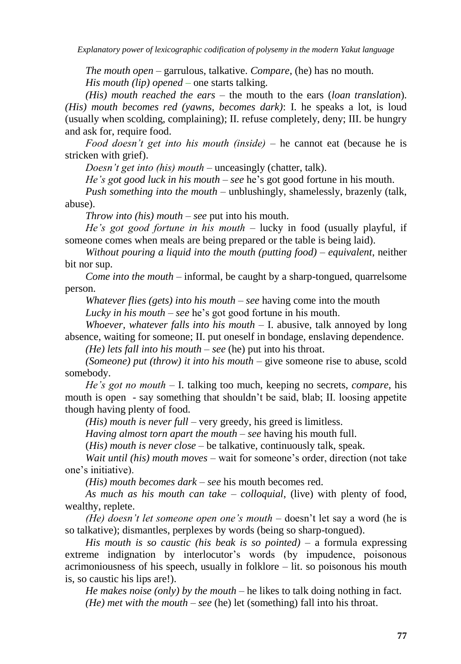*Explanatory power of lexicographic codification of polysemy in the modern Yakut language*

*The mouth open –* garrulous, talkative. *Compare*, (he) has no mouth. *His mouth (lip) opened* – one starts talking.

*(His) mouth reached the ears* – the mouth to the ears (*loan translation*). *(His) mouth becomes red (yawns, becomes dark)*: I. he speaks a lot, is loud (usually when scolding, complaining); II. refuse completely, deny; III. be hungry and ask for, require food.

*Food doesn't get into his mouth (inside)* – he cannot eat (because he is stricken with grief).

*Doesn't get into (his) mouth* – unceasingly (chatter, talk).

*He's got good luck in his mouth – see he's got good fortune in his mouth.* 

*Push something into the mouth* – unblushingly, shamelessly, brazenly (talk, abuse).

*Throw into (his) mouth* – *see* put into his mouth.

*He's got good fortune in his mouth* – lucky in food (usually playful, if someone comes when meals are being prepared or the table is being laid).

*Without pouring a liquid into the mouth (putting food)* – *equivalent*, neither bit nor sup.

*Come into the mouth* – informal, be caught by a sharp-tongued, quarrelsome person.

*Whatever flies (gets) into his mouth* – *see* having come into the mouth

*Lucky in his mouth – see* he's got good fortune in his mouth.

*Whoever, whatever falls into his mouth* – I. abusive, talk annoyed by long absence, waiting for someone; II. put oneself in bondage, enslaving dependence.

*(He) lets fall into his mouth* – *see* (he) put into his throat.

*(Someone) put (throw) it into his mouth* – give someone rise to abuse, scold somebody.

*He's got no mouth* – I. talking too much, keeping no secrets, *compare*, his mouth is open - say something that shouldn"t be said, blab; II. loosing appetite though having plenty of food.

*(His) mouth is never full* – very greedy, his greed is limitless.

*Having almost torn apart the mouth* – *see* having his mouth full.

(*His) mouth is never close* – be talkative, continuously talk, speak.

*Wait until (his) mouth moves* – wait for someone"s order, direction (not take one"s initiative).

*(His) mouth becomes dark* – *see* his mouth becomes red.

*As much as his mouth can take* – *colloquial*, (live) with plenty of food, wealthy, replete.

*(He) doesn't let someone open one's mouth* – doesn't let say a word (he is so talkative); dismantles, perplexes by words (being so sharp-tongued).

*His mouth is so caustic (his beak is so pointed)* – a formula expressing extreme indignation by interlocutor's words (by impudence, poisonous acrimoniousness of his speech, usually in folklore – lit. so poisonous his mouth is, so caustic his lips are!).

*He makes noise (only) by the mouth* – he likes to talk doing nothing in fact. *(He) met with the mouth* – *see* (he) let (something) fall into his throat.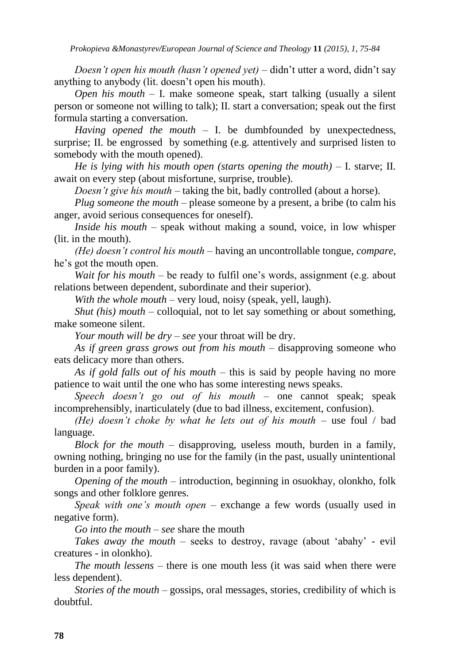*Doesn't open his mouth (hasn't opened yet)* – didn't utter a word, didn't say anything to anybody (lit. doesn"t open his mouth).

*Open his mouth* – I. make someone speak, start talking (usually a silent person or someone not willing to talk); II. start a conversation; speak out the first formula starting a conversation.

*Having opened the mouth* – I. be dumbfounded by unexpectedness, surprise; II. be engrossed by something (e.g. attentively and surprised listen to somebody with the mouth opened).

*He is lying with his mouth open (starts opening the mouth)* – I. starve; II. await on every step (about misfortune, surprise, trouble).

*Doesn't give his mouth* – taking the bit, badly controlled (about a horse).

*Plug someone the mouth* – please someone by a present, a bribe (to calm his anger, avoid serious consequences for oneself).

*Inside his mouth* – speak without making a sound, voice, in low whisper (lit. in the mouth).

*(He) doesn't control his mouth* – having an uncontrollable tongue, *compare*, he"s got the mouth open.

*Wait for his mouth* – be ready to fulfil one's words, assignment (e.g. about relations between dependent, subordinate and their superior).

*With the whole mouth* – very loud, noisy (speak, yell, laugh).

*Shut (his) mouth* – colloquial, not to let say something or about something, make someone silent.

*Your mouth will be dry* – *see* your throat will be dry.

*As if green grass grows out from his mouth* – disapproving someone who eats delicacy more than others.

*As if gold falls out of his mouth* – this is said by people having no more patience to wait until the one who has some interesting news speaks.

*Speech doesn't go out of his mouth* – one cannot speak; speak incomprehensibly, inarticulately (due to bad illness, excitement, confusion).

*(He) doesn't choke by what he lets out of his mouth* – use foul / bad language.

*Block for the mouth* – disapproving, useless mouth, burden in a family, owning nothing, bringing no use for the family (in the past, usually unintentional burden in a poor family).

*Opening of the mouth* – introduction, beginning in osuokhay, olonkho, folk songs and other folklore genres.

*Speak with one's mouth open* – exchange a few words (usually used in negative form).

*Go into the mouth – see* share the mouth

*Takes away the mouth* – seeks to destroy, ravage (about "abahy" - evil creatures - in olonkho).

*The mouth lessens* – there is one mouth less (it was said when there were less dependent).

*Stories of the mouth* – gossips, oral messages, stories, credibility of which is doubtful.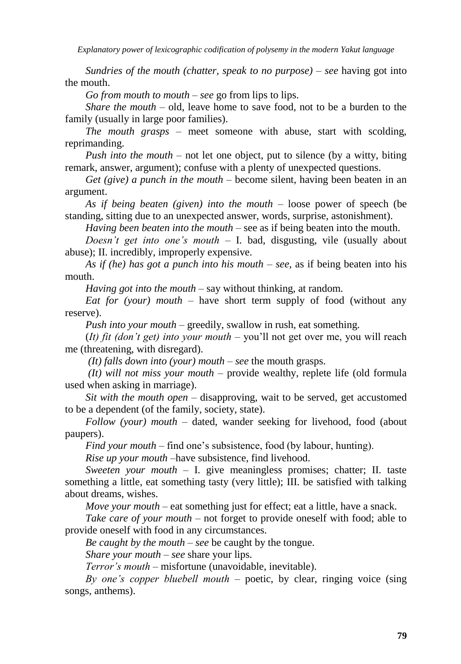*Explanatory power of lexicographic codification of polysemy in the modern Yakut language*

*Sundries of the mouth (chatter, speak to no purpose)* – *see* having got into the mouth.

*Go from mouth to mouth* – *see* go from lips to lips.

*Share the mouth* – old, leave home to save food, not to be a burden to the family (usually in large poor families).

*The mouth grasps* – meet someone with abuse, start with scolding, reprimanding.

*Push into the mouth* – not let one object, put to silence (by a witty, biting remark, answer, argument); confuse with a plenty of unexpected questions.

*Get (give) a punch in the mouth* – become silent, having been beaten in an argument.

*As if being beaten (given) into the mouth* – loose power of speech (be standing, sitting due to an unexpected answer, words, surprise, astonishment).

*Having been beaten into the mouth* – see as if being beaten into the mouth.

*Doesn't get into one's mouth* – I. bad, disgusting, vile (usually about abuse); II. incredibly, improperly expensive.

*As if (he) has got a punch into his mouth* – *see*, as if being beaten into his mouth.

*Having got into the mouth* – say without thinking, at random.

*Eat for (your) mouth* – have short term supply of food (without any reserve).

*Push into your mouth* – greedily, swallow in rush, eat something.

(*It) fit (don't get) into your mouth* – you"ll not get over me, you will reach me (threatening, with disregard).

*(It) falls down into (your) mouth* – *see* the mouth grasps.

*(It) will not miss your mouth* – provide wealthy, replete life (old formula used when asking in marriage).

*Sit with the mouth open* – disapproving, wait to be served, get accustomed to be a dependent (of the family, society, state).

*Follow (your) mouth* – dated, wander seeking for livehood, food (about paupers).

*Find your mouth* – find one's subsistence, food (by labour, hunting).

*Rise up your mouth* –have subsistence, find livehood.

*Sweeten your mouth* – I. give meaningless promises; chatter; II. taste something a little, eat something tasty (very little); III. be satisfied with talking about dreams, wishes.

*Move your mouth* – eat something just for effect; eat a little, have a snack.

*Take care of your mouth* – not forget to provide oneself with food; able to provide oneself with food in any circumstances.

*Be caught by the mouth* – *see* be caught by the tongue.

*Share your mouth* – *see* share your lips.

*Terror's mouth* – misfortune (unavoidable, inevitable).

*By one's copper bluebell mouth* – poetic, by clear, ringing voice (sing songs, anthems).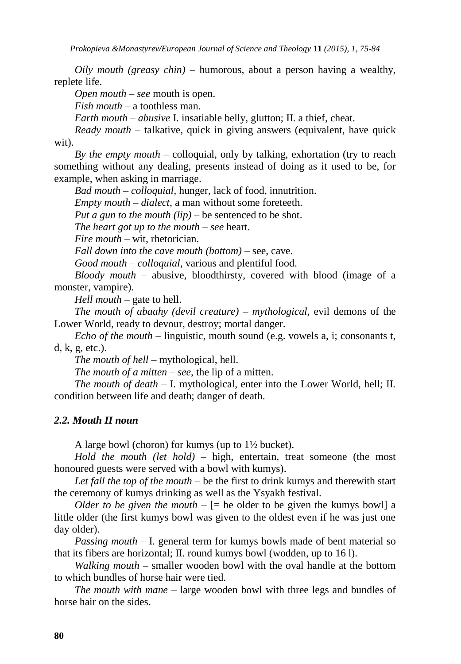*Prokopieva &Monastyrev/European Journal of Science and Theology* **11** *(2015), 1, 75-84*

*Oily mouth (greasy chin)* – humorous, about a person having a wealthy, replete life.

*Open mouth – see* mouth is open.

*Fish mouth* – a toothless man.

*Earth mouth* – *abusive* I. insatiable belly, glutton; II. a thief, cheat.

*Ready mouth* – talkative, quick in giving answers (equivalent, have quick wit).

*By the empty mouth* – colloquial, only by talking, exhortation (try to reach something without any dealing, presents instead of doing as it used to be, for example, when asking in marriage.

*Bad mouth* – *colloquial,* hunger, lack of food, innutrition.

*Empty mouth* – *dialect*, a man without some foreteeth.

*Put a gun to the mouth (lip)* – be sentenced to be shot.

*The heart got up to the mouth* – *see* heart.

*Fire mouth* – wit, rhetorician.

*Fall down into the cave mouth (bottom)* – see, cave.

*Good mouth* – *colloquial*, various and plentiful food.

*Bloody mouth* – abusive, bloodthirsty, covered with blood (image of a monster, vampire).

*Hell mouth* – gate to hell.

*The mouth of abaahy (devil creature)* – *mythological,* evil demons of the Lower World, ready to devour, destroy; mortal danger.

*Echo of the mouth* – linguistic, mouth sound (e.g. vowels a, i; consonants t, d, k, g, etc.).

*The mouth of hell* – mythological, hell.

*The mouth of a mitten – see*, the lip of a mitten.

*The mouth of death* – I. mythological, enter into the Lower World, hell; II. condition between life and death; danger of death.

#### *2.2. Mouth II noun*

A large bowl (choron) for kumys (up to 1½ bucket).

*Hold the mouth (let hold)* – high, entertain, treat someone (the most honoured guests were served with a bowl with kumys).

*Let fall the top of the mouth* – be the first to drink kumys and therewith start the ceremony of kumys drinking as well as the Ysyakh festival.

*Older to be given the mouth*  $-$  [= be older to be given the kumys bowl] a little older (the first kumys bowl was given to the oldest even if he was just one day older).

*Passing mouth –* I. general term for kumys bowls made of bent material so that its fibers are horizontal; II. round kumys bowl (wodden, up to 16 l).

*Walking mouth* – smaller wooden bowl with the oval handle at the bottom to which bundles of horse hair were tied.

*The mouth with mane* – large wooden bowl with three legs and bundles of horse hair on the sides.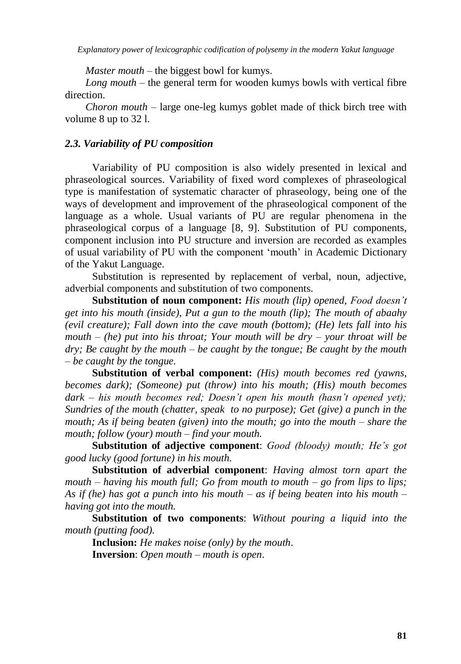*Master mouth* – the biggest bowl for kumys.

*Long mouth* – the general term for wooden kumys bowls with vertical fibre direction.

*Choron mouth* – large one-leg kumys goblet made of thick birch tree with volume 8 up to 32 l.

#### *2.3. Variability of PU composition*

Variability of PU composition is also widely presented in lexical and phraseological sources. Variability of fixed word complexes of phraseological type is manifestation of systematic character of phraseology, being one of the ways of development and improvement of the phraseological component of the language as a whole. Usual variants of PU are regular phenomena in the phraseological corpus of a language [8, 9]. Substitution of PU components, component inclusion into PU structure and inversion are recorded as examples of usual variability of PU with the component "mouth" in Academic Dictionary of the Yakut Language.

Substitution is represented by replacement of verbal, noun, adjective, adverbial components and substitution of two components.

**Substitution of noun component:** *His mouth (lip) opened, Food doesn't get into his mouth (inside), Put a gun to the mouth (lip); The mouth of abaahy (evil creature); Fall down into the cave mouth (bottom); (He) lets fall into his mouth – (he) put into his throat; Your mouth will be dry – your throat will be dry; Be caught by the mouth – be caught by the tongue; Be caught by the mouth – be caught by the tongue.*

**Substitution of verbal component:** *(His) mouth becomes red (yawns, becomes dark); (Someone) put (throw) into his mouth; (His) mouth becomes dark – his mouth becomes red; Doesn't open his mouth (hasn't opened yet); Sundries of the mouth (chatter, speak to no purpose); Get (give) a punch in the mouth; As if being beaten (given) into the mouth; go into the mouth – share the mouth; follow (your) mouth – find your mouth.*

**Substitution of adjective component**: *Good (bloody) mouth; He's got good lucky (good fortune) in his mouth.*

**Substitution of adverbial component**: *Having almost torn apart the mouth – having his mouth full; Go from mouth to mouth – go from lips to lips; As if (he) has got a punch into his mouth – as if being beaten into his mouth – having got into the mouth.*

**Substitution of two components**: *Without pouring a liquid into the mouth (putting food).*

**Inclusion:** *He makes noise (only) by the mouth*. **Inversion**: *Open mouth – mouth is open*.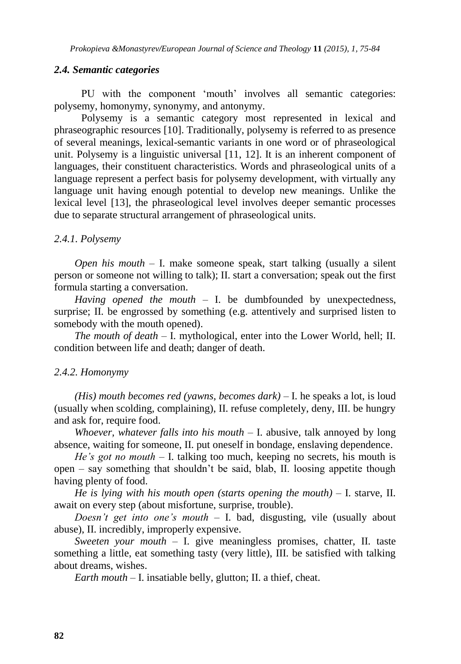#### *2.4. Semantic categories*

PU with the component 'mouth' involves all semantic categories: polysemy, homonymy, synonymy, and antonymy.

Polysemy is a semantic category most represented in lexical and phraseographic resources [10]. Traditionally, polysemy is referred to as presence of several meanings, lexical-semantic variants in one word or of phraseological unit. Polysemy is a linguistic universal [11, 12]. It is an inherent component of languages, their constituent characteristics. Words and phraseological units of a language represent a perfect basis for polysemy development, with virtually any language unit having enough potential to develop new meanings. Unlike the lexical level [13], the phraseological level involves deeper semantic processes due to separate structural arrangement of phraseological units.

#### *2.4.1. Polysemy*

*Open his mouth –* I. make someone speak, start talking (usually a silent person or someone not willing to talk); II. start a conversation; speak out the first formula starting a conversation.

*Having opened the mouth –* I. be dumbfounded by unexpectedness, surprise; II. be engrossed by something (e.g. attentively and surprised listen to somebody with the mouth opened).

*The mouth of death –* I. mythological, enter into the Lower World, hell; II. condition between life and death; danger of death.

#### *2.4.2. Homonymy*

*(His) mouth becomes red (yawns, becomes dark) –* I. he speaks a lot, is loud (usually when scolding, complaining), II. refuse completely, deny, III. be hungry and ask for, require food.

*Whoever, whatever falls into his mouth –* I. abusive, talk annoyed by long absence, waiting for someone, II. put oneself in bondage, enslaving dependence.

*He's got no mouth –* I. talking too much, keeping no secrets, his mouth is open – say something that shouldn"t be said, blab, II. loosing appetite though having plenty of food.

*He is lying with his mouth open (starts opening the mouth) –* I. starve, II. await on every step (about misfortune, surprise, trouble).

*Doesn't get into one's mouth –* I. bad, disgusting, vile (usually about abuse), II. incredibly, improperly expensive.

*Sweeten your mouth –* I. give meaningless promises, chatter, II. taste something a little, eat something tasty (very little), III. be satisfied with talking about dreams, wishes.

*Earth mouth –* I. insatiable belly, glutton; II. a thief, cheat.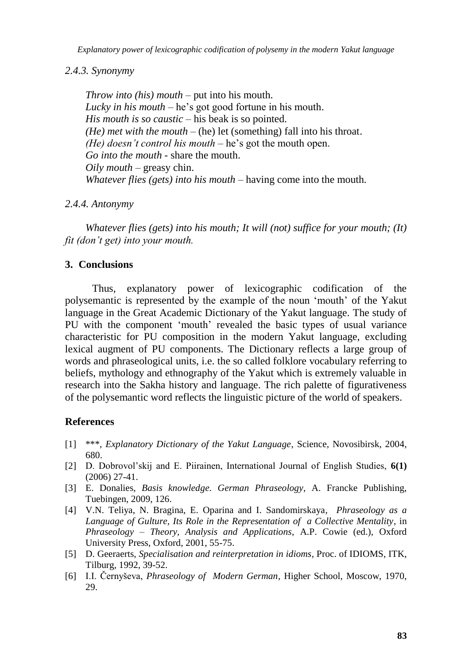*Explanatory power of lexicographic codification of polysemy in the modern Yakut language*

## *2.4.3. Synonymy*

*Throw into (his) mouth –* put into his mouth. *Lucky in his mouth –* he's got good fortune in his mouth. *His mouth is so caustic –* his beak is so pointed. *(He) met with the mouth –* (he) let (something) fall into his throat. *(He) doesn't control his mouth – he's got the mouth open. Go into the mouth -* share the mouth. *Oily mouth –* greasy chin. *Whatever flies (gets) into his mouth –* having come into the mouth*.*

*2.4.4. Antonymy*

*Whatever flies (gets) into his mouth; It will (not) suffice for your mouth; (It) fit (don't get) into your mouth.*

## **3. Conclusions**

Thus, explanatory power of lexicographic codification of the polysemantic is represented by the example of the noun "mouth" of the Yakut language in the Great Academic Dictionary of the Yakut language. The study of PU with the component "mouth" revealed the basic types of usual variance characteristic for PU composition in the modern Yakut language, excluding lexical augment of PU components. The Dictionary reflects a large group of words and phraseological units, i.e. the so called folklore vocabulary referring to beliefs, mythology and ethnography of the Yakut which is extremely valuable in research into the Sakha history and language. The rich palette of figurativeness of the polysemantic word reflects the linguistic picture of the world of speakers.

## **References**

- [1] \*\*\*, *Explanatory Dictionary of the Yakut Language*, Science, Novosibirsk, 2004, 680.
- [2] D. Dobrovol"skij and E. Piirainen, International Journal of English Studies, **6(1)** (2006) 27-41.
- [3] E. Donalies, *Basis knowledge. German Phraseology*, A. Francke Publishing, Tuebingen, 2009, 126.
- [4] V.N. Teliya, N. Bragina, E. Oparina and I. Sandomirskaya*, Phraseology as a Language of Gulture, Its Role in the Representation of a Collective Mentality*, in *Phraseology – Theory, Analysis and Applications*, A.P. Cowie (ed.), Oxford University Press, Oxford, 2001, 55-75.
- [5] D. Geeraerts, *Specialisation and reinterpretation in idioms*, Proc. of IDIOMS, ITK, Tilburg, 1992, 39-52.
- [6] I.I. Černyševa, *Phraseology of Modern German*, Higher School, Moscow, 1970, 29.